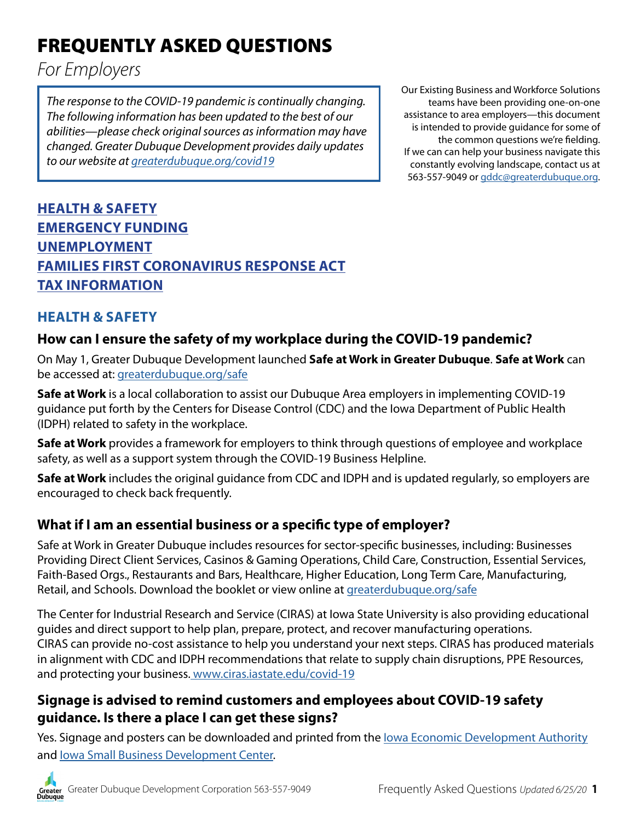# FREQUENTLY ASKED QUESTIONS

*For Employers*

*The response to the COVID-19 pandemic is continually changing. The following information has been updated to the best of our abilities—please check original sources as information may have changed. Greater Dubuque Development provides daily updates to our website at [greaterdubuque.org/covid19](https://www.greaterdubuque.org/covid19)*

Our Existing Business and Workforce Solutions teams have been providing one-on-one assistance to area employers—this document is intended to provide guidance for some of the common questions we're fielding. If we can can help your business navigate this constantly evolving landscape, contact us at 563-557-9049 or [gddc@greaterdubuque.org.](mailto:gddc%40greaterdubuque.org?subject=)

# **HEALTH & SAFETY [EMERGENCY FUNDING](#page-3-0) [UNEMPLOYMENT](#page-5-0) [FAMILIES FIRST CORONAVIRUS RESPONSE ACT](#page-7-0) [TAX INFORMATION](#page-9-0)**

# **HEALTH & SAFETY**

# **How can I ensure the safety of my workplace during the COVID-19 pandemic?**

On May 1, Greater Dubuque Development launched **Safe at Work in Greater Dubuque**. **Safe at Work** can be accessed at: [greaterdubuque.org/safe](https://www.greaterdubuque.org/covid19/safe-at-work)

**Safe at Work** is a local collaboration to assist our Dubuque Area employers in implementing COVID-19 guidance put forth by the Centers for Disease Control (CDC) and the Iowa Department of Public Health (IDPH) related to safety in the workplace.

**Safe at Work** provides a framework for employers to think through questions of employee and workplace safety, as well as a support system through the COVID-19 Business Helpline.

**Safe at Work** includes the original guidance from CDC and IDPH and is updated regularly, so employers are encouraged to check back frequently.

# **What if I am an essential business or a specific type of employer?**

Safe at Work in Greater Dubuque includes resources for sector-specific businesses, including: Businesses Providing Direct Client Services, Casinos & Gaming Operations, Child Care, Construction, Essential Services, Faith-Based Orgs., Restaurants and Bars, Healthcare, Higher Education, Long Term Care, Manufacturing, Retail, and Schools. Download the booklet or view online at [greaterdubuque.org/safe](greaterdubuque.org/covid19/safe-at-work)

The Center for Industrial Research and Service (CIRAS) at Iowa State University is also providing educational guides and direct support to help plan, prepare, protect, and recover manufacturing operations. CIRAS can provide no-cost assistance to help you understand your next steps. CIRAS has produced materials in alignment with CDC and IDPH recommendations that relate to supply chain disruptions, PPE Resources, and protecting your business. [www.ciras.iastate.edu/covid-19](https://www.ciras.iastate.edu/covid-19/)

# **Signage is advised to remind customers and employees about COVID-19 safety guidance. Is there a place I can get these signs?**

Yes. Signage and posters can be downloaded and printed from the [Iowa Economic Development Authority](https://www.iowaeconomicdevelopment.com/covid-19/recovery-guidance) and lowa Small Business Development Center.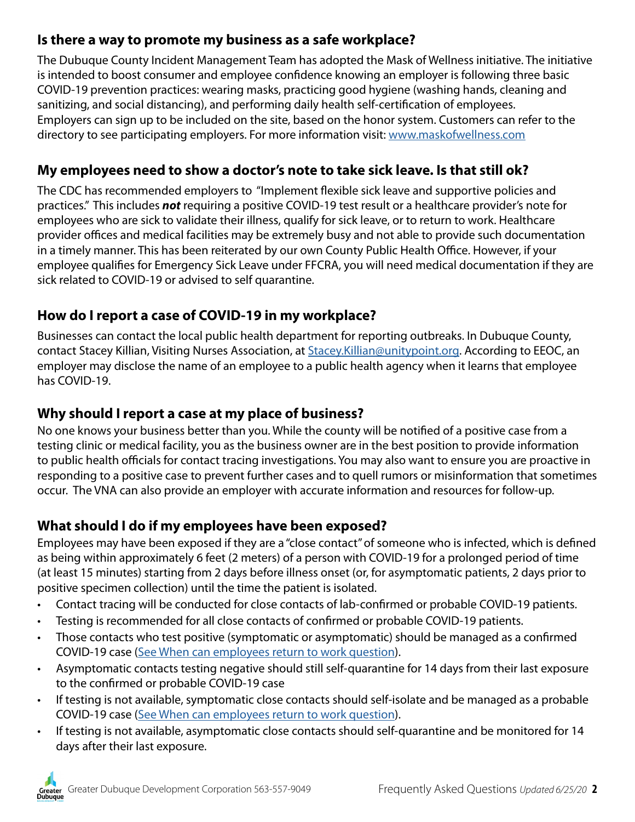# **Is there a way to promote my business as a safe workplace?**

The Dubuque County Incident Management Team has adopted the Mask of Wellness initiative. The initiative is intended to boost consumer and employee confidence knowing an employer is following three basic COVID-19 prevention practices: wearing masks, practicing good hygiene (washing hands, cleaning and sanitizing, and social distancing), and performing daily health self-certification of employees. Employers can sign up to be included on the site, based on the honor system. Customers can refer to the directory to see participating employers. For more information visit: [www.maskofwellness.com](https://www.maskofwellness.com/)

## **My employees need to show a doctor's note to take sick leave. Is that still ok?**

The CDC has recommended employers to "Implement flexible sick leave and supportive policies and practices." This includes *not* requiring a positive COVID-19 test result or a healthcare provider's note for employees who are sick to validate their illness, qualify for sick leave, or to return to work. Healthcare provider offices and medical facilities may be extremely busy and not able to provide such documentation in a timely manner. This has been reiterated by our own County Public Health Office. However, if your employee qualifies for Emergency Sick Leave under FFCRA, you will need medical documentation if they are sick related to COVID-19 or advised to self quarantine.

# **How do I report a case of COVID-19 in my workplace?**

Businesses can contact the local public health department for reporting outbreaks. In Dubuque County, contact Stacey Killian, Visiting Nurses Association, at [Stacey.Killian@unitypoint.org.](mailto:Stacey.Killian%40unitypoint.org?subject=) According to EEOC, an employer may disclose the name of an employee to a public health agency when it learns that employee has COVID-19.

# **Why should I report a case at my place of business?**

No one knows your business better than you. While the county will be notified of a positive case from a testing clinic or medical facility, you as the business owner are in the best position to provide information to public health officials for contact tracing investigations. You may also want to ensure you are proactive in responding to a positive case to prevent further cases and to quell rumors or misinformation that sometimes occur. The VNA can also provide an employer with accurate information and resources for follow-up.

# **What should I do if my employees have been exposed?**

Employees may have been exposed if they are a "close contact" of someone who is infected, which is defined as being within approximately 6 feet (2 meters) of a person with COVID-19 for a prolonged period of time (at least 15 minutes) starting from 2 days before illness onset (or, for asymptomatic patients, 2 days prior to positive specimen collection) until the time the patient is isolated.

- Contact tracing will be conducted for close contacts of lab-confirmed or probable COVID-19 patients.
- Testing is recommended for all close contacts of confirmed or probable COVID-19 patients.
- Those contacts who test positive (symptomatic or asymptomatic) should be managed as a confirmed COVID-19 case [\(See When can employees return to work question\)](#page-2-0).
- Asymptomatic contacts testing negative should still self-quarantine for 14 days from their last exposure to the confirmed or probable COVID-19 case
- If testing is not available, symptomatic close contacts should self-isolate and be managed as a probable COVID-19 case [\(See When can employees return to work question\)](#page-2-0).
- If testing is not available, asymptomatic close contacts should self-quarantine and be monitored for 14 days after their last exposure.

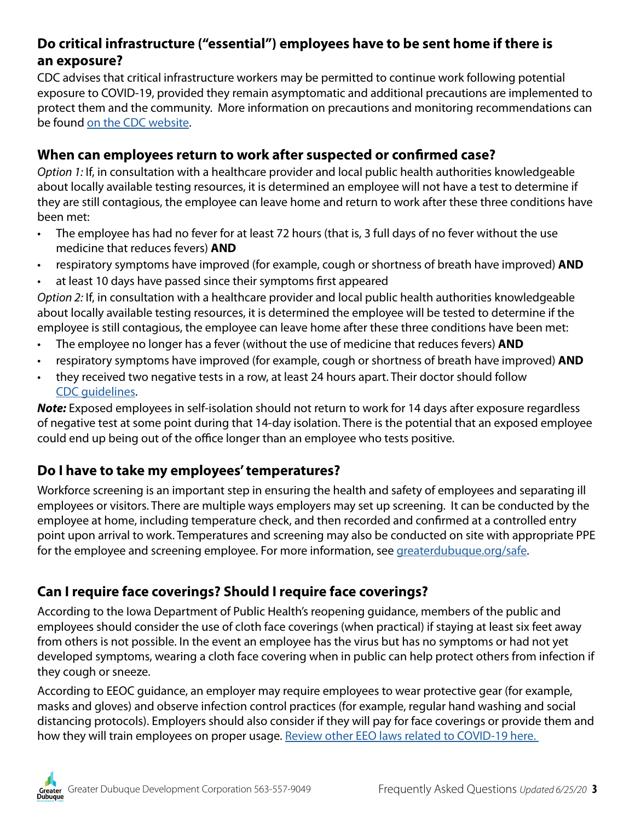## **Do critical infrastructure ("essential") employees have to be sent home if there is an exposure?**

CDC advises that critical infrastructure workers may be permitted to continue work following potential exposure to COVID-19, provided they remain asymptomatic and additional precautions are implemented to protect them and the community. More information on precautions and monitoring recommendations can be found [on the CDC website](https://www.cdc.gov/coronavirus/2019-ncov/community/critical-workers/implementing-safety-practices.html).

#### <span id="page-2-0"></span>**When can employees return to work after suspected or confirmed case?**

*Option 1:* If, in consultation with a healthcare provider and local public health authorities knowledgeable about locally available testing resources, it is determined an employee will not have a test to determine if they are still contagious, the employee can leave home and return to work after these three conditions have been met:

- The employee has had no fever for at least 72 hours (that is, 3 full days of no fever without the use medicine that reduces fevers) **AND**
- respiratory symptoms have improved (for example, cough or shortness of breath have improved) **AND**
- at least 10 days have passed since their symptoms first appeared

*Option 2:* If, in consultation with a healthcare provider and local public health authorities knowledgeable about locally available testing resources, it is determined the employee will be tested to determine if the employee is still contagious, the employee can leave home after these three conditions have been met:

- The employee no longer has a fever (without the use of medicine that reduces fevers) **AND**
- respiratory symptoms have improved (for example, cough or shortness of breath have improved) **AND**
- they received two negative tests in a row, at least 24 hours apart. Their doctor should follow [CDC guidelines](https://www.cdc.gov/coronavirus/2019-ncov/if-you-are-sick/steps-when-sick.html).

*Note:* Exposed employees in self-isolation should not return to work for 14 days after exposure regardless of negative test at some point during that 14-day isolation. There is the potential that an exposed employee could end up being out of the office longer than an employee who tests positive.

### **Do I have to take my employees' temperatures?**

Workforce screening is an important step in ensuring the health and safety of employees and separating ill employees or visitors. There are multiple ways employers may set up screening. It can be conducted by the employee at home, including temperature check, and then recorded and confirmed at a controlled entry point upon arrival to work. Temperatures and screening may also be conducted on site with appropriate PPE for the employee and screening employee. For more information, see [greaterdubuque.org/safe](https://www.greaterdubuque.org/covid19/safe-at-work).

# **Can I require face coverings? Should I require face coverings?**

According to the Iowa Department of Public Health's reopening guidance, members of the public and employees should consider the use of cloth face coverings (when practical) if staying at least six feet away from others is not possible. In the event an employee has the virus but has no symptoms or had not yet developed symptoms, wearing a cloth face covering when in public can help protect others from infection if they cough or sneeze.

According to EEOC guidance, an employer may require employees to wear protective gear (for example, masks and gloves) and observe infection control practices (for example, regular hand washing and social distancing protocols). Employers should also consider if they will pay for face coverings or provide them and how they will train employees on proper usage. Review other EEO laws related to COVID-19 here.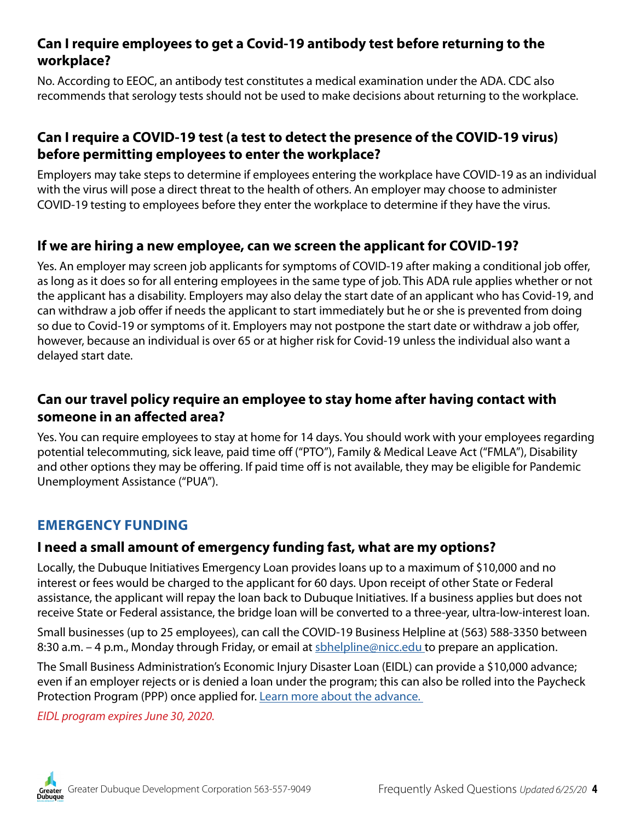#### **Can I require employees to get a Covid-19 antibody test before returning to the workplace?**

No. According to EEOC, an antibody test constitutes a medical examination under the ADA. CDC also recommends that serology tests should not be used to make decisions about returning to the workplace.

## **Can I require a COVID-19 test (a test to detect the presence of the COVID-19 virus) before permitting employees to enter the workplace?**

Employers may take steps to determine if employees entering the workplace have COVID-19 as an individual with the virus will pose a direct threat to the health of others. An employer may choose to administer COVID-19 testing to employees before they enter the workplace to determine if they have the virus.

## **If we are hiring a new employee, can we screen the applicant for COVID-19?**

Yes. An employer may screen job applicants for symptoms of COVID-19 after making a conditional job offer, as long as it does so for all entering employees in the same type of job. This ADA rule applies whether or not the applicant has a disability. Employers may also delay the start date of an applicant who has Covid-19, and can withdraw a job offer if needs the applicant to start immediately but he or she is prevented from doing so due to Covid-19 or symptoms of it. Employers may not postpone the start date or withdraw a job offer, however, because an individual is over 65 or at higher risk for Covid-19 unless the individual also want a delayed start date.

## **Can our travel policy require an employee to stay home after having contact with someone in an affected area?**

Yes. You can require employees to stay at home for 14 days. You should work with your employees regarding potential telecommuting, sick leave, paid time off ("PTO"), Family & Medical Leave Act ("FMLA"), Disability and other options they may be offering. If paid time off is not available, they may be eligible for Pandemic Unemployment Assistance ("PUA").

### <span id="page-3-0"></span>**EMERGENCY FUNDING**

# **I need a small amount of emergency funding fast, what are my options?**

Locally, the Dubuque Initiatives Emergency Loan provides loans up to a maximum of \$10,000 and no interest or fees would be charged to the applicant for 60 days. Upon receipt of other State or Federal assistance, the applicant will repay the loan back to Dubuque Initiatives. If a business applies but does not receive State or Federal assistance, the bridge loan will be converted to a three-year, ultra-low-interest loan.

Small businesses (up to 25 employees), can call the COVID-19 Business Helpline at (563) 588-3350 between 8:30 a.m. – 4 p.m., Monday through Friday, or email at [sbhelpline@nicc.edu t](mailto:sbhelpline%40nicc.edu%20?subject=)o prepare an application.

The Small Business Administration's Economic Injury Disaster Loan (EIDL) can provide a \$10,000 advance; even if an employer rejects or is denied a loan under the program; this can also be rolled into the Paycheck Protection Program (PPP) once applied for. [Learn more about the advance.](https://www.sba.gov/funding-programs/loans/coronavirus-relief-options/economic-injury-disaster-loan-emergency-advance) 

*EIDL program expires June 30, 2020.*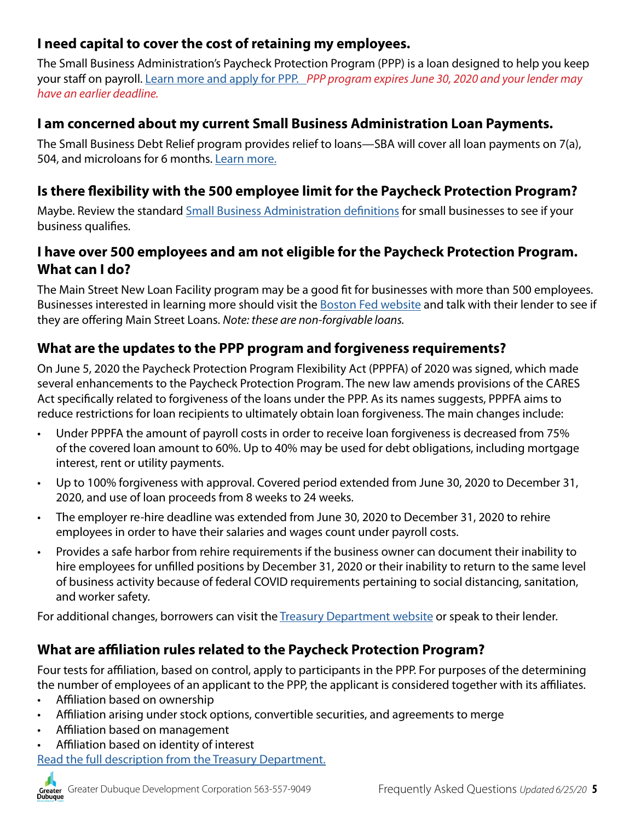# **I need capital to cover the cost of retaining my employees.**

The Small Business Administration's Paycheck Protection Program (PPP) is a loan designed to help you keep your staff on payroll. [Learn more and apply for PPP.](https://www.sba.gov/funding-programs/loans/coronavirus-relief-options/paycheck-protection-program-ppp) *PPP program expires June 30, 2020 and your lender may have an earlier deadline.*

### **I am concerned about my current Small Business Administration Loan Payments.**

The Small Business Debt Relief program provides relief to loans—SBA will cover all loan payments on 7(a), 504, and microloans for 6 months. [Learn more.](https://www.sba.gov/funding-programs/loans/coronavirus-relief-options/sba-debt-relief)

## **Is there flexibility with the 500 employee limit for the Paycheck Protection Program?**

Maybe. Review the standard **Small Business Administration definitions** for small businesses to see if your business qualifies.

## **I have over 500 employees and am not eligible for the Paycheck Protection Program. What can I do?**

The Main Street New Loan Facility program may be a good fit for businesses with more than 500 employees. Businesses interested in learning more should visit the [Boston Fed website](https://www.bostonfed.org/supervision-and-regulation/supervision/special-facilities/main-street-lending-program.aspx) and talk with their lender to see if they are offering Main Street Loans. *Note: these are non-forgivable loans.*

### **What are the updates to the PPP program and forgiveness requirements?**

On June 5, 2020 the Paycheck Protection Program Flexibility Act (PPPFA) of 2020 was signed, which made several enhancements to the Paycheck Protection Program. The new law amends provisions of the CARES Act specifically related to forgiveness of the loans under the PPP. As its names suggests, PPPFA aims to reduce restrictions for loan recipients to ultimately obtain loan forgiveness. The main changes include:

- Under PPPFA the amount of payroll costs in order to receive loan forgiveness is decreased from 75% of the covered loan amount to 60%. Up to 40% may be used for debt obligations, including mortgage interest, rent or utility payments.
- Up to 100% forgiveness with approval. Covered period extended from June 30, 2020 to December 31, 2020, and use of loan proceeds from 8 weeks to 24 weeks.
- The employer re-hire deadline was extended from June 30, 2020 to December 31, 2020 to rehire employees in order to have their salaries and wages count under payroll costs.
- Provides a safe harbor from rehire requirements if the business owner can document their inability to hire employees for unfilled positions by December 31, 2020 or their inability to return to the same level of business activity because of federal COVID requirements pertaining to social distancing, sanitation, and worker safety.

For additional changes, borrowers can visit the [Treasury Department website](https://home.treasury.gov/policy-issues/cares/assistance-for-small-businesses) or speak to their lender.

### **What are affiliation rules related to the Paycheck Protection Program?**

Four tests for affiliation, based on control, apply to participants in the PPP. For purposes of the determining the number of employees of an applicant to the PPP, the applicant is considered together with its affiliates.

- Affiliation based on ownership
- Affiliation arising under stock options, convertible securities, and agreements to merge
- Affiliation based on management
- Affiliation based on identity of interest

[Read the full description from the Treasury Department.](https://home.treasury.gov/system/files/136/Affiliation%20rules%20overview%20%28for%20public%29.pdf)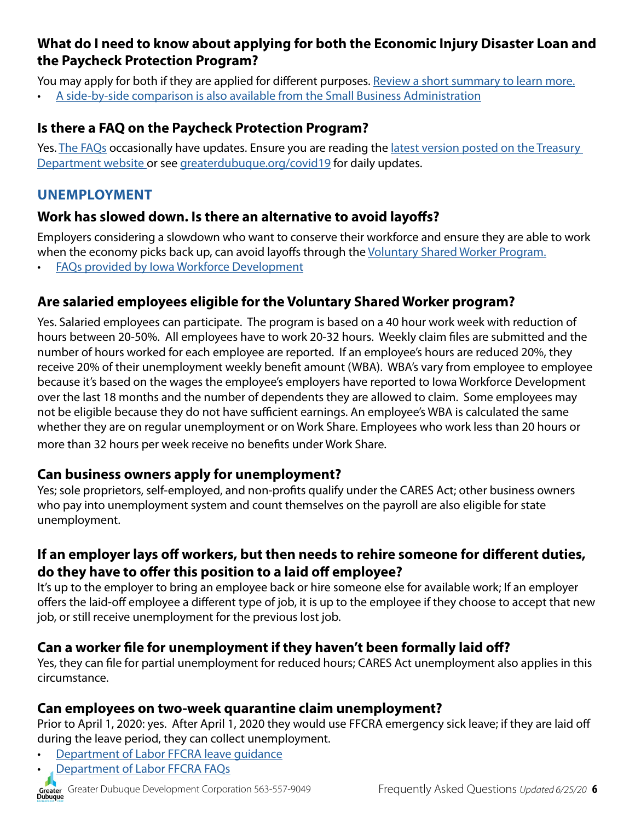## **What do I need to know about applying for both the Economic Injury Disaster Loan and the Paycheck Protection Program?**

You may apply for both if they are applied for different purposes. [Review a short summary to learn more.](https://content.govdelivery.com/accounts/USSBA/bulletins/284cbce#link_10)

• [A side-by-side comparison is also available from the Small Business Administration](http://iowasbdc.org/wp-content/uploads/2020/04/Iowa-SBDC-EIDL-vs-PPP-English-2.pdf)

## **Is there a FAQ on the Paycheck Protection Program?**

Yes. [The FAQs](https://home.treasury.gov/system/files/136/Paycheck-Protection-Program-Frequently-Asked-Questions.pdf) occasionally have updates. Ensure you are reading the latest version posted on the Treasury [Department website o](https://home.treasury.gov/policy-issues/cares/assistance-for-small-businesses)r see [greaterdubuque.org/covid19](https://www.greaterdubuque.org/covid19) for daily updates.

### <span id="page-5-0"></span>**UNEMPLOYMENT**

### **Work has slowed down. Is there an alternative to avoid layoffs?**

Employers considering a slowdown who want to conserve their workforce and ensure they are able to work when the economy picks back up, can avoid layoffs through the [Voluntary Shared Worker Program.](https://www.iowaworkforcedevelopment.gov/voluntary-shared-work-program)

• [FAQs provided by Iowa Workforce Development](https://www.iowaworkforcedevelopment.gov/voluntary-shared-work-frequently-asked-questions)

## **Are salaried employees eligible for the Voluntary Shared Worker program?**

Yes. Salaried employees can participate. The program is based on a 40 hour work week with reduction of hours between 20-50%. All employees have to work 20-32 hours. Weekly claim files are submitted and the number of hours worked for each employee are reported. If an employee's hours are reduced 20%, they receive 20% of their unemployment weekly benefit amount (WBA). WBA's vary from employee to employee because it's based on the wages the employee's employers have reported to Iowa Workforce Development over the last 18 months and the number of dependents they are allowed to claim. Some employees may not be eligible because they do not have sufficient earnings. An employee's WBA is calculated the same whether they are on regular unemployment or on Work Share. Employees who work less than 20 hours or more than 32 hours per week receive no benefits under Work Share.

#### **Can business owners apply for unemployment?**

Yes; sole proprietors, self-employed, and non-profits qualify under the CARES Act; other business owners who pay into unemployment system and count themselves on the payroll are also eligible for state unemployment.

## **If an employer lays off workers, but then needs to rehire someone for different duties, do they have to offer this position to a laid off employee?**

It's up to the employer to bring an employee back or hire someone else for available work; If an employer offers the laid-off employee a different type of job, it is up to the employee if they choose to accept that new job, or still receive unemployment for the previous lost job.

### **Can a worker file for unemployment if they haven't been formally laid off?**

Yes, they can file for partial unemployment for reduced hours; CARES Act unemployment also applies in this circumstance.

#### **Can employees on two-week quarantine claim unemployment?**

Prior to April 1, 2020: yes. After April 1, 2020 they would use FFCRA emergency sick leave; if they are laid off during the leave period, they can collect unemployment.

- [Department of Labor FFCRA leave guidance](https://www.dol.gov/agencies/whd/pandemic/ffcra-employee-paid-leave)
- [Department of Labor FFCRA FAQs](https://www.dol.gov/agencies/whd/pandemic/ffcra-questions)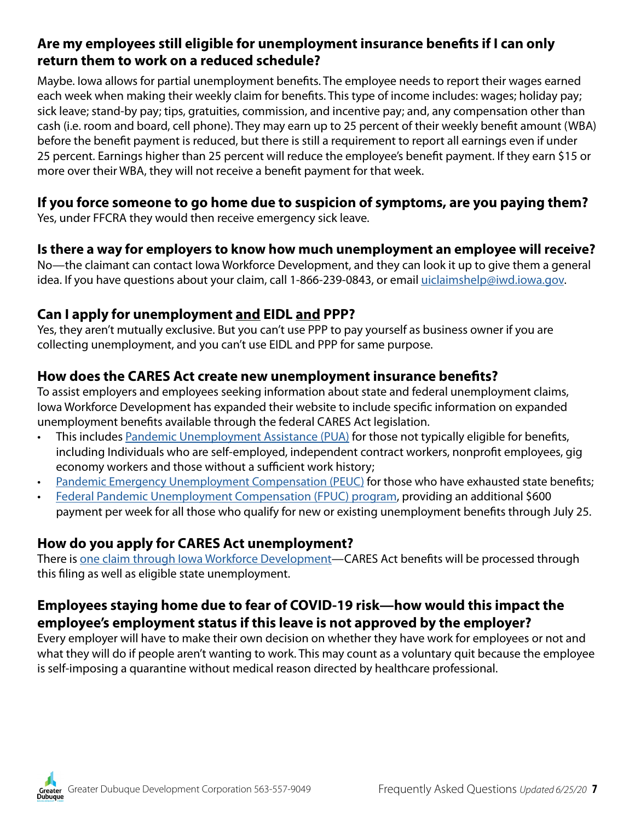### **Are my employees still eligible for unemployment insurance benefits if I can only return them to work on a reduced schedule?**

Maybe. Iowa allows for partial unemployment benefits. The employee needs to report their wages earned each week when making their weekly claim for benefits. This type of income includes: wages; holiday pay; sick leave; stand-by pay; tips, gratuities, commission, and incentive pay; and, any compensation other than cash (i.e. room and board, cell phone). They may earn up to 25 percent of their weekly benefit amount (WBA) before the benefit payment is reduced, but there is still a requirement to report all earnings even if under 25 percent. Earnings higher than 25 percent will reduce the employee's benefit payment. If they earn \$15 or more over their WBA, they will not receive a benefit payment for that week.

# **If you force someone to go home due to suspicion of symptoms, are you paying them?**

Yes, under FFCRA they would then receive emergency sick leave.

### **Is there a way for employers to know how much unemployment an employee will receive?**

No—the claimant can contact Iowa Workforce Development, and they can look it up to give them a general idea. If you have questions about your claim, call 1-866-239-0843, or email [uiclaimshelp@iwd.iowa.gov.](mailto:uiclaimshelp%40iwd.iowa.gov?subject=)

## **Can I apply for unemployment and EIDL and PPP?**

Yes, they aren't mutually exclusive. But you can't use PPP to pay yourself as business owner if you are collecting unemployment, and you can't use EIDL and PPP for same purpose.

### **How does the CARES Act create new unemployment insurance benefits?**

To assist employers and employees seeking information about state and federal unemployment claims, Iowa Workforce Development has expanded their website to include specific information on expanded unemployment benefits available through the federal CARES Act legislation.

- This includes [Pandemic Unemployment Assistance \(PUA\)](https://www.iowaworkforcedevelopment.gov/pua-information) for those not typically eligible for benefits, including Individuals who are self-employed, independent contract workers, nonprofit employees, gig economy workers and those without a sufficient work history;
- [Pandemic Emergency Unemployment Compensation \(PEUC\)](https://www.iowaworkforcedevelopment.gov/peuc-information) for those who have exhausted state benefits;
- [Federal Pandemic Unemployment Compensation \(FPUC\) program,](https://www.iowaworkforcedevelopment.gov/fpuc-information) providing an additional \$600 payment per week for all those who qualify for new or existing unemployment benefits through July 25.

# **How do you apply for CARES Act unemployment?**

There is [one claim through Iowa Workforce Development—](https://www.iowaworkforcedevelopment.gov/file-claim-unemployment-insurance-benefits)CARES Act benefits will be processed through this filing as well as eligible state unemployment.

# **Employees staying home due to fear of COVID-19 risk—how would this impact the employee's employment status if this leave is not approved by the employer?**

Every employer will have to make their own decision on whether they have work for employees or not and what they will do if people aren't wanting to work. This may count as a voluntary quit because the employee is self-imposing a quarantine without medical reason directed by healthcare professional.

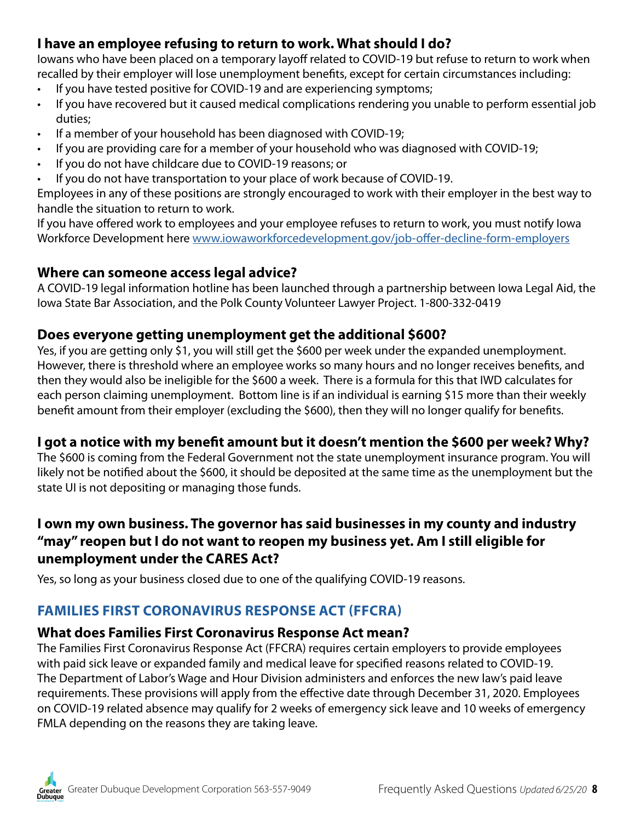# **I have an employee refusing to return to work. What should I do?**

Iowans who have been placed on a temporary layoff related to COVID-19 but refuse to return to work when recalled by their employer will lose unemployment benefits, except for certain circumstances including:

- If you have tested positive for COVID-19 and are experiencing symptoms;
- If you have recovered but it caused medical complications rendering you unable to perform essential job duties;
- If a member of your household has been diagnosed with COVID-19;
- If you are providing care for a member of your household who was diagnosed with COVID-19;
- If you do not have childcare due to COVID-19 reasons; or
- If you do not have transportation to your place of work because of COVID-19.

Employees in any of these positions are strongly encouraged to work with their employer in the best way to handle the situation to return to work.

If you have offered work to employees and your employee refuses to return to work, you must notify Iowa Workforce Development here [www.iowaworkforcedevelopment.gov/job-offer-decline-form-employers](https://www.iowaworkforcedevelopment.gov/job-offer-decline-form-employers)

#### **Where can someone access legal advice?**

A COVID-19 legal information hotline has been launched through a partnership between Iowa Legal Aid, the Iowa State Bar Association, and the Polk County Volunteer Lawyer Project. 1-800-332-0419

### **Does everyone getting unemployment get the additional \$600?**

Yes, if you are getting only \$1, you will still get the \$600 per week under the expanded unemployment. However, there is threshold where an employee works so many hours and no longer receives benefits, and then they would also be ineligible for the \$600 a week. There is a formula for this that IWD calculates for each person claiming unemployment. Bottom line is if an individual is earning \$15 more than their weekly benefit amount from their employer (excluding the \$600), then they will no longer qualify for benefits.

### **I got a notice with my benefit amount but it doesn't mention the \$600 per week? Why?**

The \$600 is coming from the Federal Government not the state unemployment insurance program. You will likely not be notified about the \$600, it should be deposited at the same time as the unemployment but the state UI is not depositing or managing those funds.

# **I own my own business. The governor has said businesses in my county and industry "may" reopen but I do not want to reopen my business yet. Am I still eligible for unemployment under the CARES Act?**

Yes, so long as your business closed due to one of the qualifying COVID-19 reasons.

# <span id="page-7-0"></span>**FAMILIES FIRST CORONAVIRUS RESPONSE ACT (FFCRA)**

#### **What does Families First Coronavirus Response Act mean?**

The Families First Coronavirus Response Act (FFCRA) requires certain employers to provide employees with paid sick leave or expanded family and medical leave for specified reasons related to COVID-19. The Department of Labor's Wage and Hour Division administers and enforces the new law's paid leave requirements. These provisions will apply from the effective date through December 31, 2020. Employees on COVID-19 related absence may qualify for 2 weeks of emergency sick leave and 10 weeks of emergency FMLA depending on the reasons they are taking leave.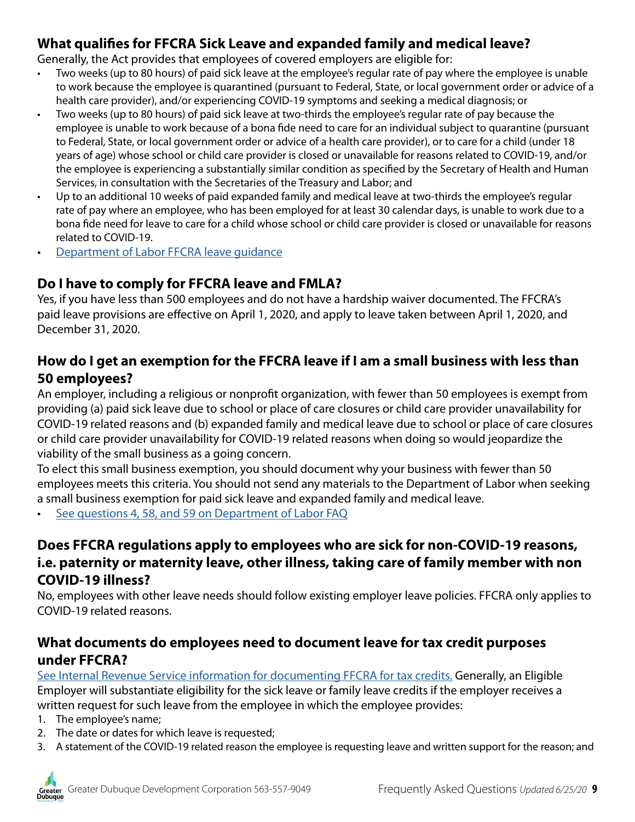## **What qualifies for FFCRA Sick Leave and expanded family and medical leave?**

Generally, the Act provides that employees of covered employers are eligible for:

- Two weeks (up to 80 hours) of paid sick leave at the employee's regular rate of pay where the employee is unable to work because the employee is quarantined (pursuant to Federal, State, or local government order or advice of a health care provider), and/or experiencing COVID-19 symptoms and seeking a medical diagnosis; or
- Two weeks (up to 80 hours) of paid sick leave at two-thirds the employee's regular rate of pay because the employee is unable to work because of a bona fide need to care for an individual subject to quarantine (pursuant to Federal, State, or local government order or advice of a health care provider), or to care for a child (under 18 years of age) whose school or child care provider is closed or unavailable for reasons related to COVID-19, and/or the employee is experiencing a substantially similar condition as specified by the Secretary of Health and Human Services, in consultation with the Secretaries of the Treasury and Labor; and
- Up to an additional 10 weeks of paid expanded family and medical leave at two-thirds the employee's regular rate of pay where an employee, who has been employed for at least 30 calendar days, is unable to work due to a bona fide need for leave to care for a child whose school or child care provider is closed or unavailable for reasons related to COVID-19.
- [Department of Labor FFCRA leave guidance](https://www.dol.gov/agencies/whd/pandemic/ffcra-employee-paid-leave)

### **Do I have to comply for FFCRA leave and FMLA?**

Yes, if you have less than 500 employees and do not have a hardship waiver documented. The FFCRA's paid leave provisions are effective on April 1, 2020, and apply to leave taken between April 1, 2020, and December 31, 2020.

### **How do I get an exemption for the FFCRA leave if I am a small business with less than 50 employees?**

An employer, including a religious or nonprofit organization, with fewer than 50 employees is exempt from providing (a) paid sick leave due to school or place of care closures or child care provider unavailability for COVID-19 related reasons and (b) expanded family and medical leave due to school or place of care closures or child care provider unavailability for COVID-19 related reasons when doing so would jeopardize the viability of the small business as a going concern.

To elect this small business exemption, you should document why your business with fewer than 50 employees meets this criteria. You should not send any materials to the Department of Labor when seeking a small business exemption for paid sick leave and expanded family and medical leave.

[See questions 4, 58, and 59 on Department of Labor FAQ](https://www.dol.gov/agencies/whd/pandemic/ffcra-questions)

## **Does FFCRA regulations apply to employees who are sick for non-COVID-19 reasons, i.e. paternity or maternity leave, other illness, taking care of family member with non COVID-19 illness?**

No, employees with other leave needs should follow existing employer leave policies. FFCRA only applies to COVID-19 related reasons.

#### **What documents do employees need to document leave for tax credit purposes under FFCRA?**

[See Internal Revenue Service information for documenting FFCRA for tax credits.](https://www.irs.gov/newsroom/covid-19-related-tax-credits-for-required-paid-leave-provided-by-small-and-midsize-businesses-faqs) Generally, an Eligible Employer will substantiate eligibility for the sick leave or family leave credits if the employer receives a written request for such leave from the employee in which the employee provides:

- 1. The employee's name;
- 2. The date or dates for which leave is requested;
- 3. A statement of the COVID-19 related reason the employee is requesting leave and written support for the reason; and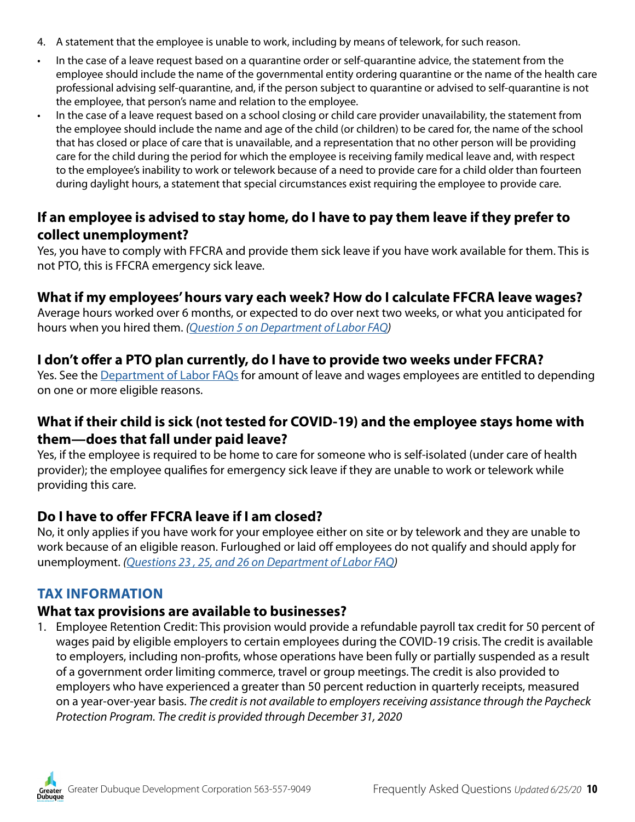- 4. A statement that the employee is unable to work, including by means of telework, for such reason.
- In the case of a leave request based on a quarantine order or self-quarantine advice, the statement from the employee should include the name of the governmental entity ordering quarantine or the name of the health care professional advising self-quarantine, and, if the person subject to quarantine or advised to self-quarantine is not the employee, that person's name and relation to the employee.
- In the case of a leave request based on a school closing or child care provider unavailability, the statement from the employee should include the name and age of the child (or children) to be cared for, the name of the school that has closed or place of care that is unavailable, and a representation that no other person will be providing care for the child during the period for which the employee is receiving family medical leave and, with respect to the employee's inability to work or telework because of a need to provide care for a child older than fourteen during daylight hours, a statement that special circumstances exist requiring the employee to provide care.

### **If an employee is advised to stay home, do I have to pay them leave if they prefer to collect unemployment?**

Yes, you have to comply with FFCRA and provide them sick leave if you have work available for them. This is not PTO, this is FFCRA emergency sick leave.

#### **What if my employees' hours vary each week? How do I calculate FFCRA leave wages?**

Average hours worked over 6 months, or expected to do over next two weeks, or what you anticipated for hours when you hired them. *([Question 5 on Department of Labor FAQ\)](https://www.dol.gov/agencies/whd/pandemic/ffcra-questions)*

#### **I don't offer a PTO plan currently, do I have to provide two weeks under FFCRA?**

Yes. See the [Department of Labor F](https://www.dol.gov/agencies/whd/pandemic/ffcra-questions)AQs for amount of leave and wages employees are entitled to depending on one or more eligible reasons.

### **What if their child is sick (not tested for COVID-19) and the employee stays home with them—does that fall under paid leave?**

Yes, if the employee is required to be home to care for someone who is self-isolated (under care of health provider); the employee qualifies for emergency sick leave if they are unable to work or telework while providing this care.

#### **Do I have to offer FFCRA leave if I am closed?**

No, it only applies if you have work for your employee either on site or by telework and they are unable to work because of an eligible reason. Furloughed or laid off employees do not qualify and should apply for unemployment. *[\(Questions 23 , 25, and 26 on Department of Labor FAQ](https://www.dol.gov/agencies/whd/pandemic/ffcra-questions))*

#### <span id="page-9-0"></span>**TAX INFORMATION**

#### **What tax provisions are available to businesses?**

1. Employee Retention Credit: This provision would provide a refundable payroll tax credit for 50 percent of wages paid by eligible employers to certain employees during the COVID-19 crisis. The credit is available to employers, including non-profits, whose operations have been fully or partially suspended as a result of a government order limiting commerce, travel or group meetings. The credit is also provided to employers who have experienced a greater than 50 percent reduction in quarterly receipts, measured on a year-over-year basis. *The credit is not available to employers receiving assistance through the Paycheck Protection Program. The credit is provided through December 31, 2020*